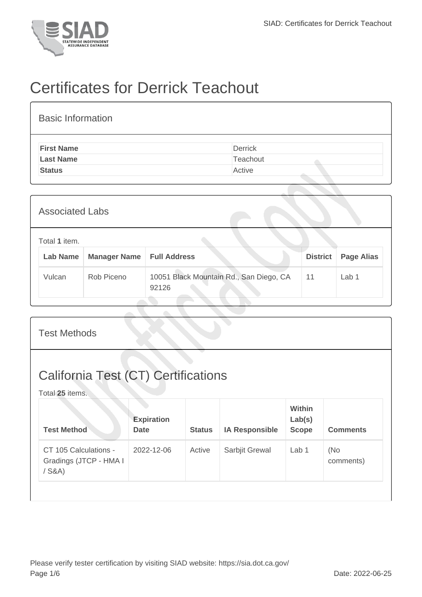

## Certificates for Derrick Teachout

| <b>Basic Information</b> |                |
|--------------------------|----------------|
| <b>First Name</b>        | <b>Derrick</b> |
| <b>Last Name</b>         | Teachout       |
| <b>Status</b>            | Active         |

| <b>Associated Labs</b> |                           |                     |                                                  |                 |                   |  |  |  |
|------------------------|---------------------------|---------------------|--------------------------------------------------|-----------------|-------------------|--|--|--|
|                        | Total 1 item.<br>Lab Name | <b>Manager Name</b> | <b>Full Address</b>                              | <b>District</b> | <b>Page Alias</b> |  |  |  |
|                        | Vulcan                    | Rob Piceno          | 10051 Black Mountain Rd., San Diego, CA<br>92126 | 11              | Lab 1             |  |  |  |

| <b>Test Methods</b>                                           |                                  |               |                       |                                  |                  |  |  |  |
|---------------------------------------------------------------|----------------------------------|---------------|-----------------------|----------------------------------|------------------|--|--|--|
| <b>California Test (CT) Certifications</b><br>Total 25 items. |                                  |               |                       |                                  |                  |  |  |  |
| <b>Test Method</b>                                            | <b>Expiration</b><br><b>Date</b> | <b>Status</b> | <b>IA Responsible</b> | Within<br>Lab(s)<br><b>Scope</b> | <b>Comments</b>  |  |  |  |
| CT 105 Calculations -<br>Gradings (JTCP - HMA I<br>$/$ S&A)   | 2022-12-06                       | Active        | Sarbjit Grewal        | Lab <sub>1</sub>                 | (No<br>comments) |  |  |  |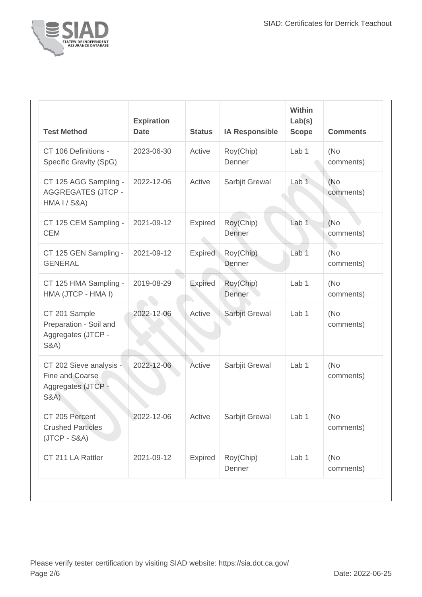

| <b>Test Method</b>                                                                  | <b>Expiration</b><br><b>Date</b> | <b>Status</b>  | <b>IA Responsible</b> | <b>Within</b><br>Lab(s)<br><b>Scope</b> | <b>Comments</b>   |
|-------------------------------------------------------------------------------------|----------------------------------|----------------|-----------------------|-----------------------------------------|-------------------|
| CT 106 Definitions -<br>Specific Gravity (SpG)                                      | 2023-06-30                       | Active         | Roy(Chip)<br>Denner   | Lab 1                                   | (No<br>comments)  |
| CT 125 AGG Sampling -<br><b>AGGREGATES (JTCP -</b><br><b>HMA I / S&amp;A)</b>       | 2022-12-06                       | Active         | Sarbjit Grewal        | Lab <sub>1</sub>                        | (No)<br>comments) |
| CT 125 CEM Sampling -<br><b>CEM</b>                                                 | 2021-09-12                       | Expired        | Roy(Chip)<br>Denner   | Lab <sub>1</sub>                        | (No)<br>comments) |
| CT 125 GEN Sampling -<br><b>GENERAL</b>                                             | 2021-09-12                       | Expired        | Roy(Chip)<br>Denner   | Lab <sub>1</sub>                        | (No<br>comments)  |
| CT 125 HMA Sampling -<br>HMA (JTCP - HMA I)                                         | 2019-08-29                       | <b>Expired</b> | Roy(Chip)<br>Denner   | Lab 1                                   | (No<br>comments)  |
| CT 201 Sample<br>Preparation - Soil and<br>Aggregates (JTCP -<br><b>S&amp;A)</b>    | 2022-12-06                       | Active         | Sarbjit Grewal        | Lab <sub>1</sub>                        | (No<br>comments)  |
| CT 202 Sieve analysis -<br>Fine and Coarse<br>Aggregates (JTCP -<br><b>S&amp;A)</b> | 2022-12-06                       | Active         | Sarbjit Grewal        | Lab 1                                   | (No<br>comments)  |
| CT 205 Percent<br><b>Crushed Particles</b><br>$(JTCP - S&A)$                        | 2022-12-06                       | Active         | Sarbjit Grewal        | Lab 1                                   | (No<br>comments)  |
| CT 211 LA Rattler                                                                   | 2021-09-12                       | Expired        | Roy(Chip)<br>Denner   | Lab 1                                   | (No<br>comments)  |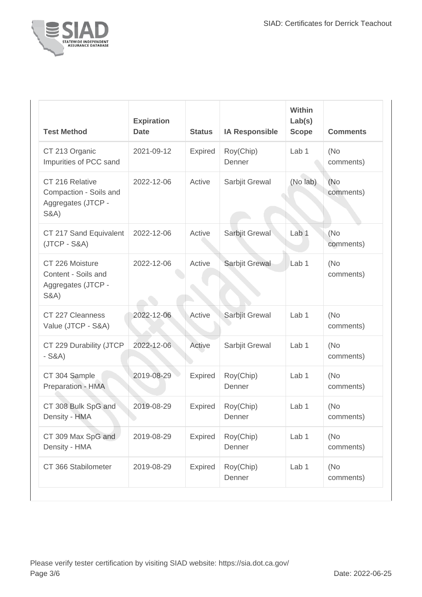

| <b>Test Method</b>                                                                 | <b>Expiration</b><br><b>Date</b> | <b>Status</b>  | <b>IA Responsible</b> | Within<br>Lab(s)<br><b>Scope</b> | <b>Comments</b>   |
|------------------------------------------------------------------------------------|----------------------------------|----------------|-----------------------|----------------------------------|-------------------|
| CT 213 Organic<br>Impurities of PCC sand                                           | 2021-09-12                       | Expired        | Roy(Chip)<br>Denner   | Lab <sub>1</sub>                 | (No<br>comments)  |
| CT 216 Relative<br>Compaction - Soils and<br>Aggregates (JTCP -<br><b>S&amp;A)</b> | 2022-12-06                       | Active         | Sarbjit Grewal        | (No lab)                         | (No)<br>comments) |
| CT 217 Sand Equivalent<br>$(JTCP - S&A)$                                           | 2022-12-06                       | Active         | Sarbjit Grewal        | Lab <sub>1</sub>                 | (No<br>comments)  |
| CT 226 Moisture<br>Content - Soils and<br>Aggregates (JTCP -<br><b>S&amp;A)</b>    | 2022-12-06                       | Active         | Sarbjit Grewal        | Lab <sub>1</sub>                 | (No<br>comments)  |
| CT 227 Cleanness<br>Value (JTCP - S&A)                                             | 2022-12-06                       | Active         | Sarbjit Grewal        | Lab <sub>1</sub>                 | (No<br>comments)  |
| CT 229 Durability (JTCP<br>$-S&A)$                                                 | 2022-12-06                       | Active         | Sarbjit Grewal        | Lab <sub>1</sub>                 | (No<br>comments)  |
| CT 304 Sample<br>Preparation - HMA                                                 | 2019-08-29                       | <b>Expired</b> | Roy(Chip)<br>Denner   | Lab <sub>1</sub>                 | (No<br>comments)  |
| CT 308 Bulk SpG and<br>Density - HMA                                               | 2019-08-29                       | <b>Expired</b> | Roy(Chip)<br>Denner   | Lab <sub>1</sub>                 | (No<br>comments)  |
| CT 309 Max SpG and<br>Density - HMA                                                | 2019-08-29                       | Expired        | Roy(Chip)<br>Denner   | Lab <sub>1</sub>                 | (No<br>comments)  |
| CT 366 Stabilometer                                                                | 2019-08-29                       | <b>Expired</b> | Roy(Chip)<br>Denner   | Lab 1                            | (No<br>comments)  |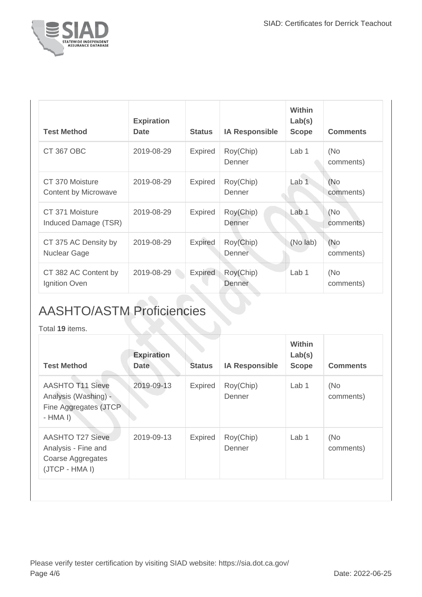

| <b>Test Method</b>                          | <b>Expiration</b><br><b>Date</b> | <b>Status</b>  | <b>IA Responsible</b> | Within<br>Lab(s)<br><b>Scope</b> | <b>Comments</b>  |
|---------------------------------------------|----------------------------------|----------------|-----------------------|----------------------------------|------------------|
| <b>CT 367 OBC</b>                           | 2019-08-29                       | <b>Expired</b> | Roy(Chip)<br>Denner   | Lab 1                            | (No<br>comments) |
| CT 370 Moisture<br>Content by Microwave     | 2019-08-29                       | <b>Expired</b> | Roy(Chip)<br>Denner   | Lab 1                            | (No<br>comments) |
| CT 371 Moisture<br>Induced Damage (TSR)     | 2019-08-29                       | <b>Expired</b> | Roy(Chip)<br>Denner   | Lab 1                            | (No<br>comments) |
| CT 375 AC Density by<br><b>Nuclear Gage</b> | 2019-08-29                       | <b>Expired</b> | Roy(Chip)<br>Denner   | (No lab)                         | (No<br>comments) |
| CT 382 AC Content by<br>Ignition Oven       | 2019-08-29                       | Expired        | Roy(Chip)<br>Denner   | Lab <sub>1</sub>                 | (No<br>comments) |

## AASHTO/ASTM Proficiencies

Total **19** items.

| <b>Test Method</b>                                                                    | <b>Expiration</b><br><b>Date</b> | <b>Status</b>  | <b>IA Responsible</b> | Within<br>Lab(s)<br><b>Scope</b> | <b>Comments</b>  |
|---------------------------------------------------------------------------------------|----------------------------------|----------------|-----------------------|----------------------------------|------------------|
| <b>AASHTO T11 Sieve</b><br>Analysis (Washing) -<br>Fine Aggregates (JTCP<br>$-HMA I$  | 2019-09-13                       | <b>Expired</b> | Roy(Chip)<br>Denner   | Lab 1                            | (No<br>comments) |
| <b>AASHTO T27 Sieve</b><br>Analysis - Fine and<br>Coarse Aggregates<br>(JTCP - HMA I) | 2019-09-13                       | <b>Expired</b> | Roy(Chip)<br>Denner   | Lab 1                            | (No<br>comments) |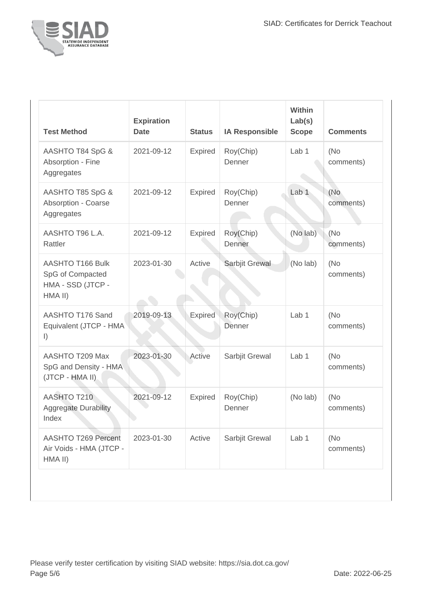

| <b>Test Method</b>                                                   | <b>Expiration</b><br><b>Date</b> | <b>Status</b>  | <b>IA Responsible</b> | Within<br>Lab(s)<br><b>Scope</b> | <b>Comments</b>   |
|----------------------------------------------------------------------|----------------------------------|----------------|-----------------------|----------------------------------|-------------------|
| AASHTO T84 SpG &<br>Absorption - Fine<br>Aggregates                  | 2021-09-12                       | Expired        | Roy(Chip)<br>Denner   | Lab <sub>1</sub>                 | (No<br>comments)  |
| AASHTO T85 SpG &<br>Absorption - Coarse<br>Aggregates                | 2021-09-12                       | <b>Expired</b> | Roy(Chip)<br>Denner   | Lab <sub>1</sub>                 | (No<br>comments)  |
| AASHTO T96 L.A.<br>Rattler                                           | 2021-09-12                       | <b>Expired</b> | Roy(Chip)<br>Denner   | (No lab)                         | (No<br>comments)  |
| AASHTO T166 Bulk<br>SpG of Compacted<br>HMA - SSD (JTCP -<br>HMA II) | 2023-01-30                       | Active         | Sarbjit Grewal        | (No lab)                         | (No)<br>comments) |
| AASHTO T176 Sand<br>Equivalent (JTCP - HMA)<br>$\vert$ )             | 2019-09-13                       | <b>Expired</b> | Roy(Chip)<br>Denner   | Lab <sub>1</sub>                 | (No<br>comments)  |
| AASHTO T209 Max<br>SpG and Density - HMA<br>(JTCP - HMA II)          | 2023-01-30                       | Active         | Sarbjit Grewal        | Lab <sub>1</sub>                 | (No<br>comments)  |
| AASHTO T210<br><b>Aggregate Durability</b><br>Index                  | 2021-09-12                       | Expired        | Roy(Chip)<br>Denner   | (No lab)                         | (No<br>comments)  |
| <b>AASHTO T269 Percent</b><br>Air Voids - HMA (JTCP -<br>HMA II)     | 2023-01-30                       | Active         | Sarbjit Grewal        | Lab 1                            | (No<br>comments)  |